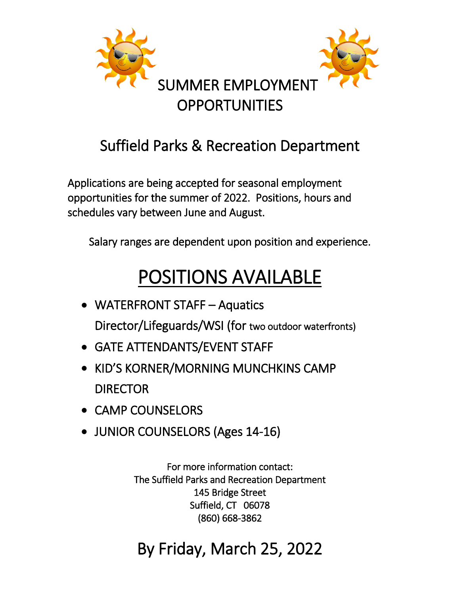

### Suffield Parks & Recreation Department

Applications are being accepted for seasonal employment opportunities for the summer of 2022. Positions, hours and schedules vary between June and August.

Salary ranges are dependent upon position and experience.

# POSITIONS AVAILABLE

- WATERFRONT STAFF Aquatics Director/Lifeguards/WSI (for two outdoor waterfronts)
- GATE ATTENDANTS/EVENT STAFF
- KID'S KORNER/MORNING MUNCHKINS CAMP DIRECTOR
- CAMP COUNSELORS
- JUNIOR COUNSELORS (Ages 14-16)

For more information contact: The Suffield Parks and Recreation Department 145 Bridge Street Suffield, CT 06078 (860) 668-3862

### By Friday, March 25, 2022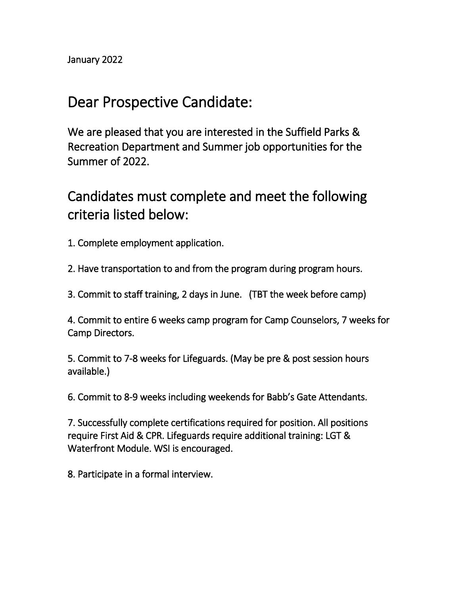### Dear Prospective Candidate:

We are pleased that you are interested in the Suffield Parks & Recreation Department and Summer job opportunities for the Summer of 2022.

Candidates must complete and meet the following criteria listed below:

- 1. Complete employment application.
- 2. Have transportation to and from the program during program hours.
- 3. Commit to staff training, 2 days in June. (TBT the week before camp)

4. Commit to entire 6 weeks camp program for Camp Counselors, 7 weeks for Camp Directors.

5. Commit to 7-8 weeks for Lifeguards. (May be pre & post session hours available.)

6. Commit to 8-9 weeks including weekends for Babb's Gate Attendants.

7. Successfully complete certifications required for position. All positions require First Aid & CPR. Lifeguards require additional training: LGT & Waterfront Module. WSI is encouraged.

8. Participate in a formal interview.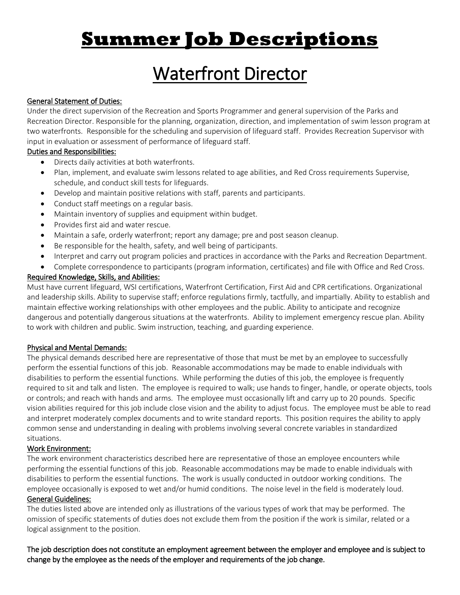## **Summer Job Descriptions**

## Waterfront Director

#### General Statement of Duties:

Under the direct supervision of the Recreation and Sports Programmer and general supervision of the Parks and Recreation Director. Responsible for the planning, organization, direction, and implementation of swim lesson program at two waterfronts. Responsible for the scheduling and supervision of lifeguard staff. Provides Recreation Supervisor with input in evaluation or assessment of performance of lifeguard staff.

#### Duties and Responsibilities:

- Directs daily activities at both waterfronts.
- Plan, implement, and evaluate swim lessons related to age abilities, and Red Cross requirements Supervise, schedule, and conduct skill tests for lifeguards.
- Develop and maintain positive relations with staff, parents and participants.
- Conduct staff meetings on a regular basis.
- Maintain inventory of supplies and equipment within budget.
- Provides first aid and water rescue.
- Maintain a safe, orderly waterfront; report any damage; pre and post season cleanup.
- Be responsible for the health, safety, and well being of participants.
- Interpret and carry out program policies and practices in accordance with the Parks and Recreation Department.
- Complete correspondence to participants (program information, certificates) and file with Office and Red Cross.

#### Required Knowledge, Skills, and Abilities:

Must have current lifeguard, WSI certifications, Waterfront Certification, First Aid and CPR certifications. Organizational and leadership skills. Ability to supervise staff; enforce regulations firmly, tactfully, and impartially. Ability to establish and maintain effective working relationships with other employees and the public. Ability to anticipate and recognize dangerous and potentially dangerous situations at the waterfronts. Ability to implement emergency rescue plan. Ability to work with children and public. Swim instruction, teaching, and guarding experience.

#### Physical and Mental Demands:

The physical demands described here are representative of those that must be met by an employee to successfully perform the essential functions of this job. Reasonable accommodations may be made to enable individuals with disabilities to perform the essential functions. While performing the duties of this job, the employee is frequently required to sit and talk and listen. The employee is required to walk; use hands to finger, handle, or operate objects, tools or controls; and reach with hands and arms. The employee must occasionally lift and carry up to 20 pounds. Specific vision abilities required for this job include close vision and the ability to adjust focus. The employee must be able to read and interpret moderately complex documents and to write standard reports. This position requires the ability to apply common sense and understanding in dealing with problems involving several concrete variables in standardized situations.

#### Work Environment:

The work environment characteristics described here are representative of those an employee encounters while performing the essential functions of this job. Reasonable accommodations may be made to enable individuals with disabilities to perform the essential functions. The work is usually conducted in outdoor working conditions. The employee occasionally is exposed to wet and/or humid conditions. The noise level in the field is moderately loud.

#### General Guidelines:

The duties listed above are intended only as illustrations of the various types of work that may be performed. The omission of specific statements of duties does not exclude them from the position if the work is similar, related or a logical assignment to the position.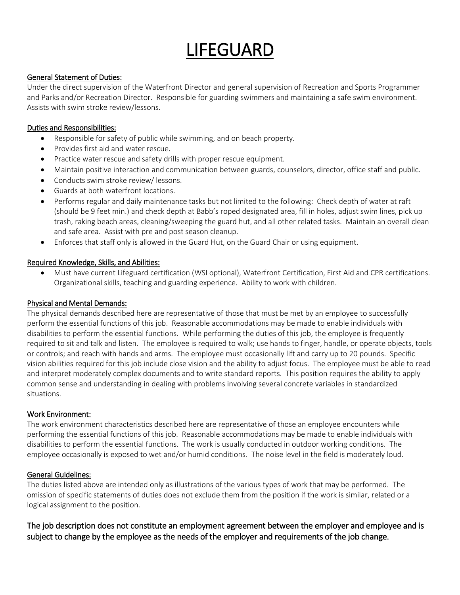## LIFEGUARD

#### General Statement of Duties:

Under the direct supervision of the Waterfront Director and general supervision of Recreation and Sports Programmer and Parks and/or Recreation Director. Responsible for guarding swimmers and maintaining a safe swim environment. Assists with swim stroke review/lessons.

#### Duties and Responsibilities:

- Responsible for safety of public while swimming, and on beach property.
- Provides first aid and water rescue.
- Practice water rescue and safety drills with proper rescue equipment.
- Maintain positive interaction and communication between guards, counselors, director, office staff and public.
- Conducts swim stroke review/ lessons.
- Guards at both waterfront locations.
- Performs regular and daily maintenance tasks but not limited to the following: Check depth of water at raft (should be 9 feet min.) and check depth at Babb's roped designated area, fill in holes, adjust swim lines, pick up trash, raking beach areas, cleaning/sweeping the guard hut, and all other related tasks. Maintain an overall clean and safe area. Assist with pre and post season cleanup.
- Enforces that staff only is allowed in the Guard Hut, on the Guard Chair or using equipment.

#### Required Knowledge, Skills, and Abilities:

 Must have current Lifeguard certification (WSI optional), Waterfront Certification, First Aid and CPR certifications. Organizational skills, teaching and guarding experience. Ability to work with children.

#### Physical and Mental Demands:

The physical demands described here are representative of those that must be met by an employee to successfully perform the essential functions of this job. Reasonable accommodations may be made to enable individuals with disabilities to perform the essential functions. While performing the duties of this job, the employee is frequently required to sit and talk and listen. The employee is required to walk; use hands to finger, handle, or operate objects, tools or controls; and reach with hands and arms. The employee must occasionally lift and carry up to 20 pounds. Specific vision abilities required for this job include close vision and the ability to adjust focus. The employee must be able to read and interpret moderately complex documents and to write standard reports. This position requires the ability to apply common sense and understanding in dealing with problems involving several concrete variables in standardized situations.

#### Work Environment:

The work environment characteristics described here are representative of those an employee encounters while performing the essential functions of this job. Reasonable accommodations may be made to enable individuals with disabilities to perform the essential functions. The work is usually conducted in outdoor working conditions. The employee occasionally is exposed to wet and/or humid conditions. The noise level in the field is moderately loud.

#### General Guidelines:

The duties listed above are intended only as illustrations of the various types of work that may be performed. The omission of specific statements of duties does not exclude them from the position if the work is similar, related or a logical assignment to the position.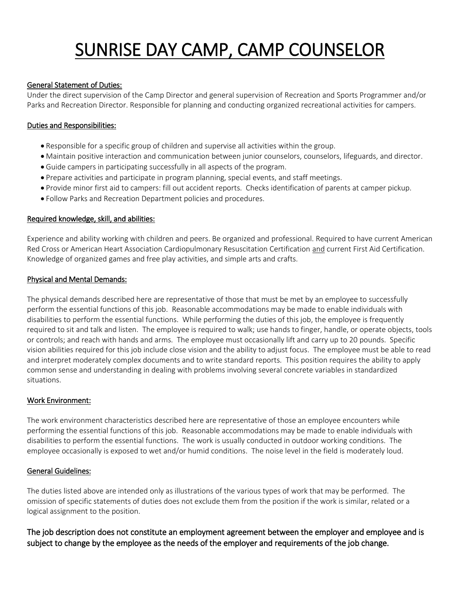## SUNRISE DAY CAMP, CAMP COUNSELOR

#### General Statement of Duties:

Under the direct supervision of the Camp Director and general supervision of Recreation and Sports Programmer and/or Parks and Recreation Director. Responsible for planning and conducting organized recreational activities for campers.

#### Duties and Responsibilities:

- Responsible for a specific group of children and supervise all activities within the group.
- Maintain positive interaction and communication between junior counselors, counselors, lifeguards, and director.
- Guide campers in participating successfully in all aspects of the program.
- Prepare activities and participate in program planning, special events, and staff meetings.
- Provide minor first aid to campers: fill out accident reports. Checks identification of parents at camper pickup.
- Follow Parks and Recreation Department policies and procedures.

#### Required knowledge, skill, and abilities:

Experience and ability working with children and peers. Be organized and professional. Required to have current American Red Cross or American Heart Association Cardiopulmonary Resuscitation Certification and current First Aid Certification. Knowledge of organized games and free play activities, and simple arts and crafts.

#### Physical and Mental Demands:

The physical demands described here are representative of those that must be met by an employee to successfully perform the essential functions of this job. Reasonable accommodations may be made to enable individuals with disabilities to perform the essential functions. While performing the duties of this job, the employee is frequently required to sit and talk and listen. The employee is required to walk; use hands to finger, handle, or operate objects, tools or controls; and reach with hands and arms. The employee must occasionally lift and carry up to 20 pounds. Specific vision abilities required for this job include close vision and the ability to adjust focus. The employee must be able to read and interpret moderately complex documents and to write standard reports. This position requires the ability to apply common sense and understanding in dealing with problems involving several concrete variables in standardized situations.

#### Work Environment:

The work environment characteristics described here are representative of those an employee encounters while performing the essential functions of this job. Reasonable accommodations may be made to enable individuals with disabilities to perform the essential functions. The work is usually conducted in outdoor working conditions. The employee occasionally is exposed to wet and/or humid conditions. The noise level in the field is moderately loud.

#### General Guidelines:

The duties listed above are intended only as illustrations of the various types of work that may be performed. The omission of specific statements of duties does not exclude them from the position if the work is similar, related or a logical assignment to the position.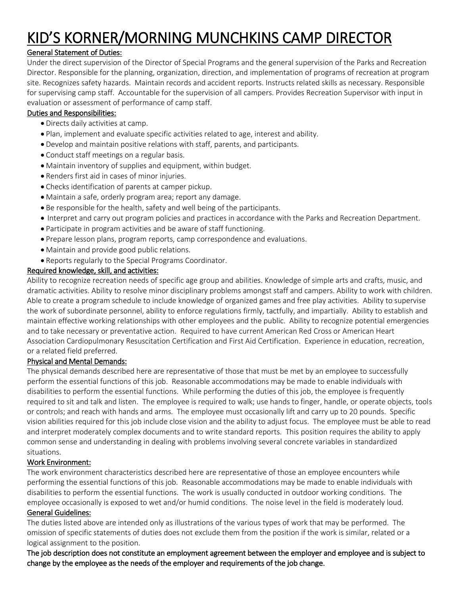### KID'S KORNER/MORNING MUNCHKINS CAMP DIRECTOR

#### General Statement of Duties:

Under the direct supervision of the Director of Special Programs and the general supervision of the Parks and Recreation Director. Responsible for the planning, organization, direction, and implementation of programs of recreation at program site. Recognizes safety hazards. Maintain records and accident reports. Instructs related skills as necessary. Responsible for supervising camp staff. Accountable for the supervision of all campers. Provides Recreation Supervisor with input in evaluation or assessment of performance of camp staff.

#### Duties and Responsibilities:

- Directs daily activities at camp.
- Plan, implement and evaluate specific activities related to age, interest and ability.
- Develop and maintain positive relations with staff, parents, and participants.
- Conduct staff meetings on a regular basis.
- Maintain inventory of supplies and equipment, within budget.
- Renders first aid in cases of minor injuries.
- Checks identification of parents at camper pickup.
- Maintain a safe, orderly program area; report any damage.
- Be responsible for the health, safety and well being of the participants.
- Interpret and carry out program policies and practices in accordance with the Parks and Recreation Department.
- Participate in program activities and be aware of staff functioning.
- Prepare lesson plans, program reports, camp correspondence and evaluations.
- Maintain and provide good public relations.
- Reports regularly to the Special Programs Coordinator.

#### Required knowledge, skill, and activities:

Ability to recognize recreation needs of specific age group and abilities. Knowledge of simple arts and crafts, music, and dramatic activities. Ability to resolve minor disciplinary problems amongst staff and campers. Ability to work with children. Able to create a program schedule to include knowledge of organized games and free play activities. Ability to supervise the work of subordinate personnel, ability to enforce regulations firmly, tactfully, and impartially. Ability to establish and maintain effective working relationships with other employees and the public. Ability to recognize potential emergencies and to take necessary or preventative action. Required to have current American Red Cross or American Heart Association Cardiopulmonary Resuscitation Certification and First Aid Certification. Experience in education, recreation, or a related field preferred.

#### Physical and Mental Demands:

The physical demands described here are representative of those that must be met by an employee to successfully perform the essential functions of this job. Reasonable accommodations may be made to enable individuals with disabilities to perform the essential functions. While performing the duties of this job, the employee is frequently required to sit and talk and listen. The employee is required to walk; use hands to finger, handle, or operate objects, tools or controls; and reach with hands and arms. The employee must occasionally lift and carry up to 20 pounds. Specific vision abilities required for this job include close vision and the ability to adjust focus. The employee must be able to read and interpret moderately complex documents and to write standard reports. This position requires the ability to apply common sense and understanding in dealing with problems involving several concrete variables in standardized situations.

#### Work Environment:

The work environment characteristics described here are representative of those an employee encounters while performing the essential functions of this job. Reasonable accommodations may be made to enable individuals with disabilities to perform the essential functions. The work is usually conducted in outdoor working conditions. The employee occasionally is exposed to wet and/or humid conditions. The noise level in the field is moderately loud.

#### General Guidelines:

The duties listed above are intended only as illustrations of the various types of work that may be performed. The omission of specific statements of duties does not exclude them from the position if the work is similar, related or a logical assignment to the position.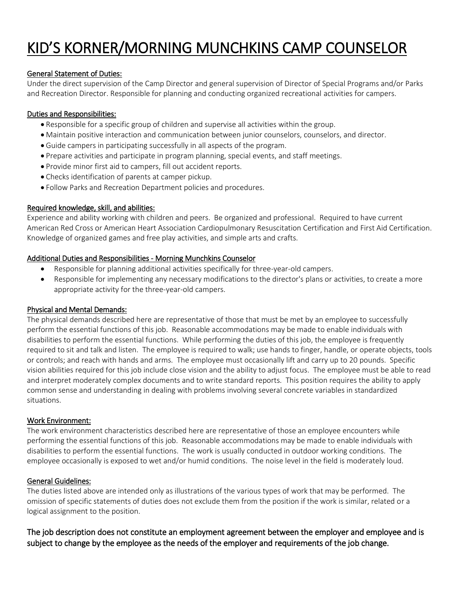### KID'S KORNER/MORNING MUNCHKINS CAMP COUNSELOR

#### General Statement of Duties:

Under the direct supervision of the Camp Director and general supervision of Director of Special Programs and/or Parks and Recreation Director. Responsible for planning and conducting organized recreational activities for campers.

#### Duties and Responsibilities:

- Responsible for a specific group of children and supervise all activities within the group.
- Maintain positive interaction and communication between junior counselors, counselors, and director.
- Guide campers in participating successfully in all aspects of the program.
- Prepare activities and participate in program planning, special events, and staff meetings.
- Provide minor first aid to campers, fill out accident reports.
- Checks identification of parents at camper pickup.
- Follow Parks and Recreation Department policies and procedures.

#### Required knowledge, skill, and abilities:

Experience and ability working with children and peers. Be organized and professional. Required to have current American Red Cross or American Heart Association Cardiopulmonary Resuscitation Certification and First Aid Certification. Knowledge of organized games and free play activities, and simple arts and crafts.

#### Additional Duties and Responsibilities - Morning Munchkins Counselor

- Responsible for planning additional activities specifically for three-year-old campers.
- Responsible for implementing any necessary modifications to the director's plans or activities, to create a more appropriate activity for the three-year-old campers.

#### Physical and Mental Demands:

The physical demands described here are representative of those that must be met by an employee to successfully perform the essential functions of this job. Reasonable accommodations may be made to enable individuals with disabilities to perform the essential functions. While performing the duties of this job, the employee is frequently required to sit and talk and listen. The employee is required to walk; use hands to finger, handle, or operate objects, tools or controls; and reach with hands and arms. The employee must occasionally lift and carry up to 20 pounds. Specific vision abilities required for this job include close vision and the ability to adjust focus. The employee must be able to read and interpret moderately complex documents and to write standard reports. This position requires the ability to apply common sense and understanding in dealing with problems involving several concrete variables in standardized situations.

#### Work Environment:

The work environment characteristics described here are representative of those an employee encounters while performing the essential functions of this job. Reasonable accommodations may be made to enable individuals with disabilities to perform the essential functions. The work is usually conducted in outdoor working conditions. The employee occasionally is exposed to wet and/or humid conditions. The noise level in the field is moderately loud.

#### General Guidelines:

The duties listed above are intended only as illustrations of the various types of work that may be performed. The omission of specific statements of duties does not exclude them from the position if the work is similar, related or a logical assignment to the position.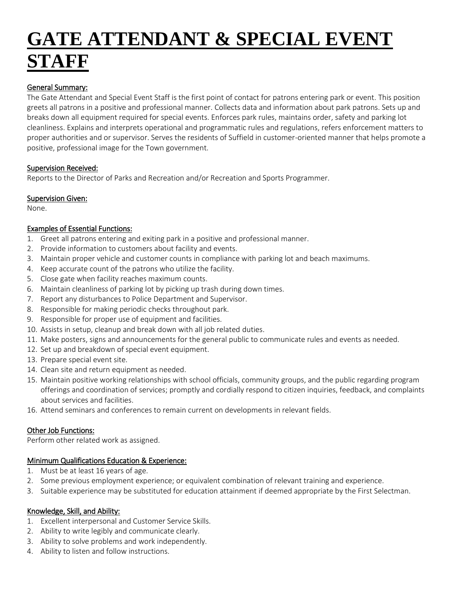# **GATE ATTENDANT & SPECIAL EVENT STAFF**

#### General Summary:

The Gate Attendant and Special Event Staff is the first point of contact for patrons entering park or event. This position greets all patrons in a positive and professional manner. Collects data and information about park patrons. Sets up and breaks down all equipment required for special events. Enforces park rules, maintains order, safety and parking lot cleanliness. Explains and interprets operational and programmatic rules and regulations, refers enforcement matters to proper authorities and or supervisor. Serves the residents of Suffield in customer-oriented manner that helps promote a positive, professional image for the Town government.

#### Supervision Received:

Reports to the Director of Parks and Recreation and/or Recreation and Sports Programmer.

#### **Supervision Given:**

None.

#### Examples of Essential Functions:

- 1. Greet all patrons entering and exiting park in a positive and professional manner.
- 2. Provide information to customers about facility and events.
- 3. Maintain proper vehicle and customer counts in compliance with parking lot and beach maximums.
- 4. Keep accurate count of the patrons who utilize the facility.
- 5. Close gate when facility reaches maximum counts.
- 6. Maintain cleanliness of parking lot by picking up trash during down times.
- 7. Report any disturbances to Police Department and Supervisor.
- 8. Responsible for making periodic checks throughout park.
- 9. Responsible for proper use of equipment and facilities.
- 10. Assists in setup, cleanup and break down with all job related duties.
- 11. Make posters, signs and announcements for the general public to communicate rules and events as needed.
- 12. Set up and breakdown of special event equipment.
- 13. Prepare special event site.
- 14. Clean site and return equipment as needed.
- 15. Maintain positive working relationships with school officials, community groups, and the public regarding program offerings and coordination of services; promptly and cordially respond to citizen inquiries, feedback, and complaints about services and facilities.
- 16. Attend seminars and conferences to remain current on developments in relevant fields.

#### Other Job Functions:

Perform other related work as assigned.

#### Minimum Qualifications Education & Experience:

- 1. Must be at least 16 years of age.
- 2. Some previous employment experience; or equivalent combination of relevant training and experience.
- 3. Suitable experience may be substituted for education attainment if deemed appropriate by the First Selectman.

#### Knowledge, Skill, and Ability:

- 1. Excellent interpersonal and Customer Service Skills.
- 2. Ability to write legibly and communicate clearly.
- 3. Ability to solve problems and work independently.
- 4. Ability to listen and follow instructions.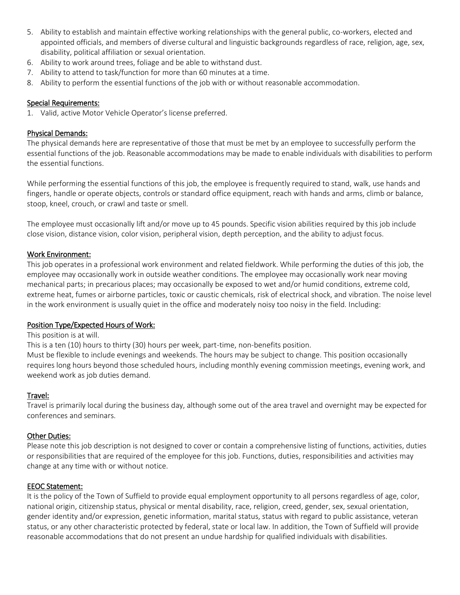- 5. Ability to establish and maintain effective working relationships with the general public, co-workers, elected and appointed officials, and members of diverse cultural and linguistic backgrounds regardless of race, religion, age, sex, disability, political affiliation or sexual orientation.
- 6. Ability to work around trees, foliage and be able to withstand dust.
- 7. Ability to attend to task/function for more than 60 minutes at a time.
- 8. Ability to perform the essential functions of the job with or without reasonable accommodation.

#### Special Requirements:

1. Valid, active Motor Vehicle Operator's license preferred.

#### Physical Demands:

The physical demands here are representative of those that must be met by an employee to successfully perform the essential functions of the job. Reasonable accommodations may be made to enable individuals with disabilities to perform the essential functions.

While performing the essential functions of this job, the employee is frequently required to stand, walk, use hands and fingers, handle or operate objects, controls or standard office equipment, reach with hands and arms, climb or balance, stoop, kneel, crouch, or crawl and taste or smell.

The employee must occasionally lift and/or move up to 45 pounds. Specific vision abilities required by this job include close vision, distance vision, color vision, peripheral vision, depth perception, and the ability to adjust focus.

#### Work Environment:

This job operates in a professional work environment and related fieldwork. While performing the duties of this job, the employee may occasionally work in outside weather conditions. The employee may occasionally work near moving mechanical parts; in precarious places; may occasionally be exposed to wet and/or humid conditions, extreme cold, extreme heat, fumes or airborne particles, toxic or caustic chemicals, risk of electrical shock, and vibration. The noise level in the work environment is usually quiet in the office and moderately noisy too noisy in the field. Including:

#### Position Type/Expected Hours of Work:

#### This position is at will.

This is a ten (10) hours to thirty (30) hours per week, part-time, non-benefits position.

Must be flexible to include evenings and weekends. The hours may be subject to change. This position occasionally requires long hours beyond those scheduled hours, including monthly evening commission meetings, evening work, and weekend work as job duties demand.

#### Travel:

Travel is primarily local during the business day, although some out of the area travel and overnight may be expected for conferences and seminars.

#### Other Duties:

Please note this job description is not designed to cover or contain a comprehensive listing of functions, activities, duties or responsibilities that are required of the employee for this job. Functions, duties, responsibilities and activities may change at any time with or without notice.

#### EEOC Statement:

It is the policy of the Town of Suffield to provide equal employment opportunity to all persons regardless of age, color, national origin, citizenship status, physical or mental disability, race, religion, creed, gender, sex, sexual orientation, gender identity and/or expression, genetic information, marital status, status with regard to public assistance, veteran status, or any other characteristic protected by federal, state or local law. In addition, the Town of Suffield will provide reasonable accommodations that do not present an undue hardship for qualified individuals with disabilities.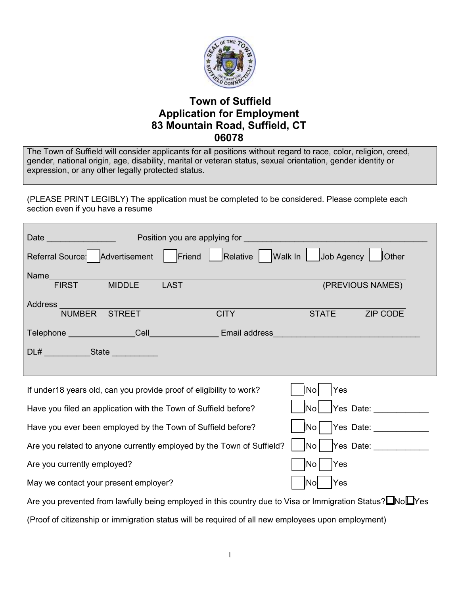

### Town of Suffield Application for Employment 83 Mountain Road, Suffield, CT 06078

The Town of Suffield will consider applicants for all positions without regard to race, color, religion, creed, gender, national origin, age, disability, marital or veteran status, sexual orientation, gender identity or expression, or any other legally protected status.

(PLEASE PRINT LEGIBLY) The application must be completed to be considered. Please complete each section even if you have a resume

| Date and the contract of the contract of the contract of the contract of the contract of the contract of the contract of the contract of the contract of the contract of the contract of the contract of the contract of the c |               | Position you are applying for                                           |              |                  |
|--------------------------------------------------------------------------------------------------------------------------------------------------------------------------------------------------------------------------------|---------------|-------------------------------------------------------------------------|--------------|------------------|
|                                                                                                                                                                                                                                |               | Referral Source: Advertisement Friend Relative Walk In Job Agency Other |              |                  |
| Name<br><b>FIRST</b>                                                                                                                                                                                                           | <b>MIDDLE</b> | <b>LAST</b>                                                             |              | (PREVIOUS NAMES) |
| <b>NUMBER</b>                                                                                                                                                                                                                  | <b>STREET</b> | <b>CITY</b>                                                             | <b>STATE</b> | <b>ZIP CODE</b>  |
| Telephone Cell Cell                                                                                                                                                                                                            |               | <b>Email address</b>                                                    |              |                  |
| DL# State State                                                                                                                                                                                                                |               |                                                                         |              |                  |
|                                                                                                                                                                                                                                |               |                                                                         |              |                  |
| If under 18 years old, can you provide proof of eligibility to work?<br>Yes<br>No                                                                                                                                              |               |                                                                         |              |                  |

| If aliger to years old, carrived provide proof or eligibility to work!                                    | 11101 1155                                                        |  |  |  |
|-----------------------------------------------------------------------------------------------------------|-------------------------------------------------------------------|--|--|--|
| Have you filed an application with the Town of Suffield before?                                           | $\vert$ Yes Date:<br>$\overline{\mathsf{N}}$ o                    |  |  |  |
| Have you ever been employed by the Town of Suffield before?                                               | Yes Date:<br>$\vert$ No $\vert$                                   |  |  |  |
| Are you related to anyone currently employed by the Town of Suffield?                                     | $\overline{\phantom{a}}$ No $\overline{\phantom{a}}$<br>Yes Date: |  |  |  |
| Are you currently employed?                                                                               | $\overline{\textsf{No}}$<br><b>Yes</b>                            |  |  |  |
| May we contact your present employer?                                                                     | <b>Yes</b><br><b>INol</b>                                         |  |  |  |
| Are you prevented from lawfully being employed in this country due to Visa or Immigration Status? Nollyes |                                                                   |  |  |  |

(Proof of citizenship or immigration status will be required of all new employees upon employment)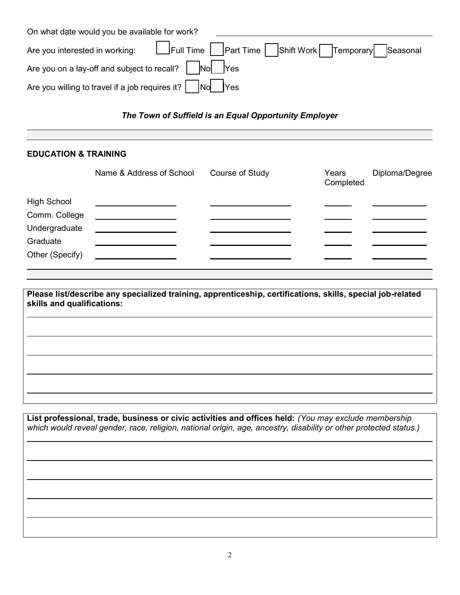| On what date would you be available for work?                                        |  |  |  |
|--------------------------------------------------------------------------------------|--|--|--|
| Are you interested in working: Let Full Time Part Time Shift Work Temporary Seasonal |  |  |  |
|                                                                                      |  |  |  |
| Are you willing to travel if a job requires it? $\Box$ No Yes                        |  |  |  |

The Town of Suffield is an Equal Opportunity Employer

#### EDUCATION & TRAINING

|                    | Name & Address of School | Course of Study | Years<br>Completed | Diploma/Degree |
|--------------------|--------------------------|-----------------|--------------------|----------------|
| <b>High School</b> |                          |                 |                    |                |
| Comm. College      |                          |                 |                    |                |
| Undergraduate      |                          |                 |                    |                |
| Graduate           |                          |                 |                    |                |
| Other (Specify)    |                          |                 |                    |                |

Please list/describe any specialized training, apprenticeship, certifications, skills, special job-related skills and qualifications:

List professional, trade, business or civic activities and offices held: (You may exclude membership which would reveal gender, race, religion, national origin, age, ancestry, disability or other protected status.)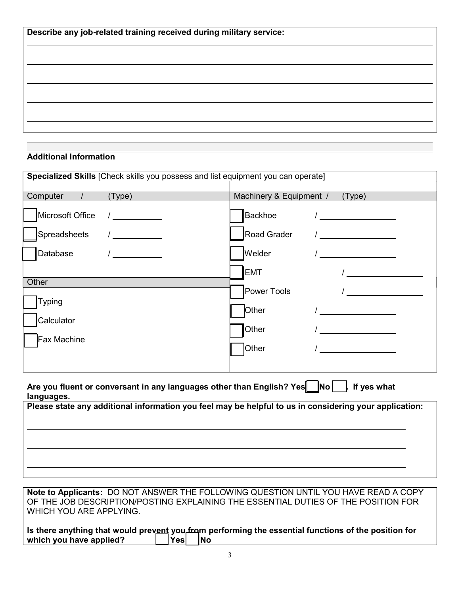| Describe any job-related training received during military service: |  |  |
|---------------------------------------------------------------------|--|--|
|                                                                     |  |  |
|                                                                     |  |  |
|                                                                     |  |  |
|                                                                     |  |  |
|                                                                     |  |  |

#### Additional Information

| Specialized Skills [Check skills you possess and list equipment you can operate]                                    |                                                    |  |  |  |
|---------------------------------------------------------------------------------------------------------------------|----------------------------------------------------|--|--|--|
|                                                                                                                     |                                                    |  |  |  |
| Computer /<br>(Type)                                                                                                | Machinery & Equipment /<br>(Type)                  |  |  |  |
| Microsoft Office<br>$\sqrt{2}$                                                                                      | lBackhoe<br>$\sqrt{2}$                             |  |  |  |
| Spreadsheets<br>$\overline{\phantom{a}}$                                                                            | Road Grader                                        |  |  |  |
| Database                                                                                                            | Welder                                             |  |  |  |
|                                                                                                                     | <b>EMT</b>                                         |  |  |  |
| Other                                                                                                               | Power Tools                                        |  |  |  |
| <b>Typing</b>                                                                                                       | Other                                              |  |  |  |
| Calculator                                                                                                          | Other<br><u> 1980 - Jan Barat, prima politik (</u> |  |  |  |
| Fax Machine                                                                                                         | Other                                              |  |  |  |
|                                                                                                                     |                                                    |  |  |  |
| Are you fluent or conversant in any languages other than English? Yes $\Box$ No $\Box$<br>If yes what<br>languages. |                                                    |  |  |  |
| Please state any additional information you feel may be helpful to us in considering your application:              |                                                    |  |  |  |

Note to Applicants: DO NOT ANSWER THE FOLLOWING QUESTION UNTIL YOU HAVE READ A COPY OF THE JOB DESCRIPTION/POSTING EXPLAINING THE ESSENTIAL DUTIES OF THE POSITION FOR WHICH YOU ARE APPLYING.

Is there anything that would prevent you from performing the essential functions of the position for which you have applied?  $\vert \hspace{.1cm} \vert$  Yes $\vert \hspace{.1cm} \vert$ No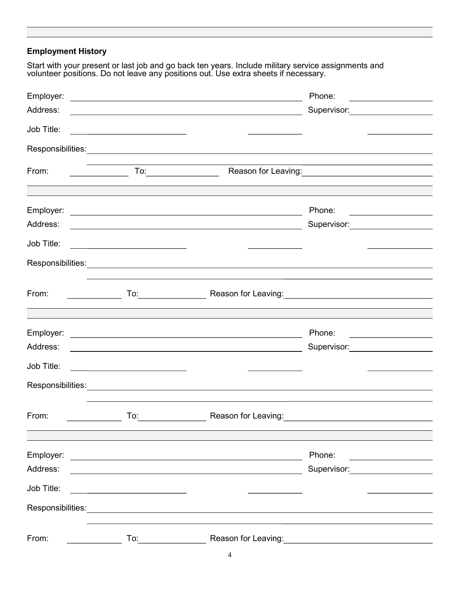### Employment History

Start with your present or last job and go back ten years. Include military service assignments and volunteer positions. Do not leave any positions out. Use extra sheets if necessary.

| Employer:         | <u> 1989 - Andrea Station Barbara, amerikan personal (h. 1989).</u>                                                                                                                                                                 |                                                                                                                        | Phone:<br><u> 1980 - Andrea State Barbara, poeta esperanto-</u>                                                                                                  |
|-------------------|-------------------------------------------------------------------------------------------------------------------------------------------------------------------------------------------------------------------------------------|------------------------------------------------------------------------------------------------------------------------|------------------------------------------------------------------------------------------------------------------------------------------------------------------|
| Address:          |                                                                                                                                                                                                                                     | <u> 1980 - Johann Stoff, deutscher Stoffen und der Stoffen und der Stoffen und der Stoffen und der Stoffen und d</u>   | Supervisor: Victor Control of Control Control Control Control Control Control Control Control Control Control Co                                                 |
| Job Title:        |                                                                                                                                                                                                                                     |                                                                                                                        |                                                                                                                                                                  |
|                   |                                                                                                                                                                                                                                     |                                                                                                                        |                                                                                                                                                                  |
| From:             |                                                                                                                                                                                                                                     |                                                                                                                        |                                                                                                                                                                  |
|                   |                                                                                                                                                                                                                                     |                                                                                                                        |                                                                                                                                                                  |
|                   |                                                                                                                                                                                                                                     |                                                                                                                        | Phone:                                                                                                                                                           |
| Address:          |                                                                                                                                                                                                                                     | <u> 1989 - Johann Barn, fransk politik (f. 1989)</u>                                                                   | <u> 1989 - Andrea Station Books, amerikansk politik (</u><br>Supervisor: Victor Control of Supervisor Control Control Control Control Control Control Control Co |
| Job Title:        |                                                                                                                                                                                                                                     |                                                                                                                        |                                                                                                                                                                  |
|                   |                                                                                                                                                                                                                                     |                                                                                                                        |                                                                                                                                                                  |
|                   |                                                                                                                                                                                                                                     |                                                                                                                        |                                                                                                                                                                  |
| From:             |                                                                                                                                                                                                                                     |                                                                                                                        | To: Reason for Leaving: No. 2006. No. 2014. No. 2014. No. 2014. No. 2014. No. 2014. No. 2014. No. 2014. No. 20                                                   |
|                   |                                                                                                                                                                                                                                     |                                                                                                                        |                                                                                                                                                                  |
|                   |                                                                                                                                                                                                                                     |                                                                                                                        | Phone:                                                                                                                                                           |
| Address:          |                                                                                                                                                                                                                                     |                                                                                                                        | Supervisor: Victor Andrew Management Communication                                                                                                               |
| Job Title:        |                                                                                                                                                                                                                                     |                                                                                                                        |                                                                                                                                                                  |
|                   |                                                                                                                                                                                                                                     | Responsibilities: <u>www.community.com/inductors/inductors/inductors/inductors/inductors/inductors/inductors/indu</u>  |                                                                                                                                                                  |
|                   |                                                                                                                                                                                                                                     |                                                                                                                        |                                                                                                                                                                  |
| From:             | <b>To:</b> the contract of the contract of the contract of the contract of the contract of the contract of the contract of the contract of the contract of the contract of the contract of the contract of the contract of the cont |                                                                                                                        |                                                                                                                                                                  |
|                   |                                                                                                                                                                                                                                     |                                                                                                                        |                                                                                                                                                                  |
| Employer:         |                                                                                                                                                                                                                                     | <u> 1989 - Andrea Stadt Britain, fransk politik amerikansk politik (</u>                                               | Phone:                                                                                                                                                           |
| Address:          |                                                                                                                                                                                                                                     | <u> 1989 - Johann Stoff, deutscher Stoffen und der Stoffen und der Stoffen und der Stoffen und der Stoffen und der</u> | Supervisor: Victor Andrew Management Communication                                                                                                               |
| Job Title:        |                                                                                                                                                                                                                                     |                                                                                                                        |                                                                                                                                                                  |
| Responsibilities: |                                                                                                                                                                                                                                     |                                                                                                                        |                                                                                                                                                                  |
|                   |                                                                                                                                                                                                                                     | <u> 1980 - Jan Samuel Barbara, margaret eta idazlearia (h. 1980).</u>                                                  |                                                                                                                                                                  |
| From:             |                                                                                                                                                                                                                                     |                                                                                                                        | Reason for Leaving: The above the set of the set of the set of the set of the set of the set of the set of the                                                   |